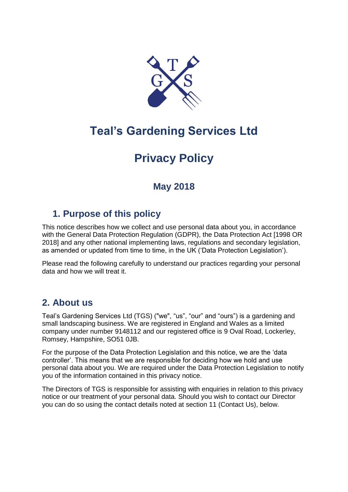

# **Teal's Gardening Services Ltd**

# **Privacy Policy**

# **May 2018**

# **1. Purpose of this policy**

This notice describes how we collect and use personal data about you, in accordance with the General Data Protection Regulation (GDPR), the Data Protection Act [1998 OR 2018] and any other national implementing laws, regulations and secondary legislation, as amended or updated from time to time, in the UK ('Data Protection Legislation').

Please read the following carefully to understand our practices regarding your personal data and how we will treat it.

# **2. About us**

Teal's Gardening Services Ltd (TGS) ("we", "us", "our" and "ours") is a gardening and small landscaping business. We are registered in England and Wales as a limited company under number 9148112 and our registered office is 9 Oval Road, Lockerley, Romsey, Hampshire, SO51 0JB.

For the purpose of the Data Protection Legislation and this notice, we are the 'data controller'. This means that we are responsible for deciding how we hold and use personal data about you. We are required under the Data Protection Legislation to notify you of the information contained in this privacy notice.

The Directors of TGS is responsible for assisting with enquiries in relation to this privacy notice or our treatment of your personal data. Should you wish to contact our Director you can do so using the contact details noted at section 11 (Contact Us), below.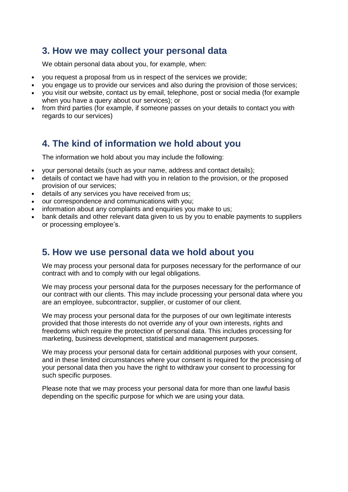### **3. How we may collect your personal data**

We obtain personal data about you, for example, when:

- you request a proposal from us in respect of the services we provide;
- you engage us to provide our services and also during the provision of those services;
- you visit our website, contact us by email, telephone, post or social media (for example when you have a query about our services); or
- from third parties (for example, if someone passes on your details to contact you with regards to our services)

# **4. The kind of information we hold about you**

The information we hold about you may include the following:

- your personal details (such as your name, address and contact details);
- details of contact we have had with you in relation to the provision, or the proposed provision of our services;
- details of any services you have received from us;
- our correspondence and communications with you;
- information about any complaints and enquiries you make to us:
- bank details and other relevant data given to us by you to enable payments to suppliers or processing employee's.

# **5. How we use personal data we hold about you**

We may process your personal data for purposes necessary for the performance of our contract with and to comply with our legal obligations.

We may process your personal data for the purposes necessary for the performance of our contract with our clients. This may include processing your personal data where you are an employee, subcontractor, supplier, or customer of our client.

We may process your personal data for the purposes of our own legitimate interests provided that those interests do not override any of your own interests, rights and freedoms which require the protection of personal data. This includes processing for marketing, business development, statistical and management purposes.

We may process your personal data for certain additional purposes with your consent, and in these limited circumstances where your consent is required for the processing of your personal data then you have the right to withdraw your consent to processing for such specific purposes.

Please note that we may process your personal data for more than one lawful basis depending on the specific purpose for which we are using your data.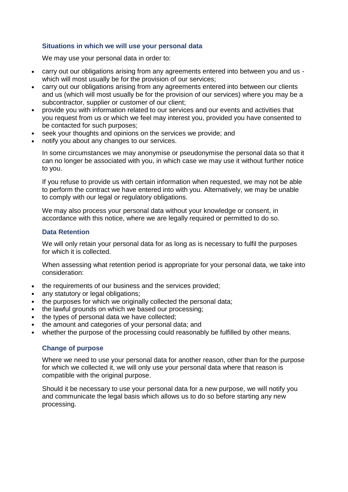#### **Situations in which we will use your personal data**

We may use your personal data in order to:

- carry out our obligations arising from any agreements entered into between you and us which will most usually be for the provision of our services;
- carry out our obligations arising from any agreements entered into between our clients and us (which will most usually be for the provision of our services) where you may be a subcontractor, supplier or customer of our client;
- provide you with information related to our services and our events and activities that you request from us or which we feel may interest you, provided you have consented to be contacted for such purposes;
- seek your thoughts and opinions on the services we provide; and
- notify you about any changes to our services.

In some circumstances we may anonymise or pseudonymise the personal data so that it can no longer be associated with you, in which case we may use it without further notice to you.

If you refuse to provide us with certain information when requested, we may not be able to perform the contract we have entered into with you. Alternatively, we may be unable to comply with our legal or regulatory obligations.

We may also process your personal data without your knowledge or consent, in accordance with this notice, where we are legally required or permitted to do so.

#### **Data Retention**

We will only retain your personal data for as long as is necessary to fulfil the purposes for which it is collected.

When assessing what retention period is appropriate for your personal data, we take into consideration:

- the requirements of our business and the services provided;
- any statutory or legal obligations;
- the purposes for which we originally collected the personal data:
- the lawful grounds on which we based our processing;
- the types of personal data we have collected:
- the amount and categories of your personal data; and
- whether the purpose of the processing could reasonably be fulfilled by other means.

#### **Change of purpose**

Where we need to use your personal data for another reason, other than for the purpose for which we collected it, we will only use your personal data where that reason is compatible with the original purpose.

Should it be necessary to use your personal data for a new purpose, we will notify you and communicate the legal basis which allows us to do so before starting any new processing.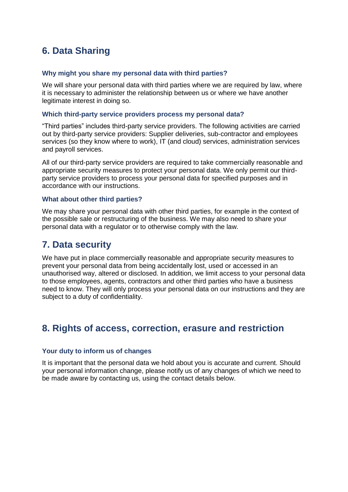# **6. Data Sharing**

#### **Why might you share my personal data with third parties?**

We will share your personal data with third parties where we are required by law, where it is necessary to administer the relationship between us or where we have another legitimate interest in doing so.

#### **Which third-party service providers process my personal data?**

"Third parties" includes third-party service providers. The following activities are carried out by third-party service providers: Supplier deliveries, sub-contractor and employees services (so they know where to work), IT (and cloud) services, administration services and payroll services.

All of our third-party service providers are required to take commercially reasonable and appropriate security measures to protect your personal data. We only permit our thirdparty service providers to process your personal data for specified purposes and in accordance with our instructions.

#### **What about other third parties?**

We may share your personal data with other third parties, for example in the context of the possible sale or restructuring of the business. We may also need to share your personal data with a regulator or to otherwise comply with the law.

### **7. Data security**

We have put in place commercially reasonable and appropriate security measures to prevent your personal data from being accidentally lost, used or accessed in an unauthorised way, altered or disclosed. In addition, we limit access to your personal data to those employees, agents, contractors and other third parties who have a business need to know. They will only process your personal data on our instructions and they are subject to a duty of confidentiality.

### **8. Rights of access, correction, erasure and restriction**

#### **Your duty to inform us of changes**

It is important that the personal data we hold about you is accurate and current. Should your personal information change, please notify us of any changes of which we need to be made aware by contacting us, using the contact details below.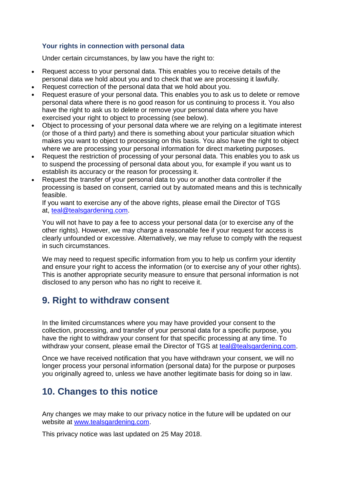#### **Your rights in connection with personal data**

Under certain circumstances, by law you have the right to:

- Request access to your personal data. This enables you to receive details of the personal data we hold about you and to check that we are processing it lawfully.
- Request correction of the personal data that we hold about you.
- Request erasure of your personal data. This enables you to ask us to delete or remove personal data where there is no good reason for us continuing to process it. You also have the right to ask us to delete or remove your personal data where you have exercised your right to object to processing (see below).
- Object to processing of your personal data where we are relying on a legitimate interest (or those of a third party) and there is something about your particular situation which makes you want to object to processing on this basis. You also have the right to object where we are processing your personal information for direct marketing purposes.
- Request the restriction of processing of your personal data. This enables you to ask us to suspend the processing of personal data about you, for example if you want us to establish its accuracy or the reason for processing it.
- Request the transfer of your personal data to you or another data controller if the processing is based on consent, carried out by automated means and this is technically feasible.

If you want to exercise any of the above rights, please email the Director of TGS at, [teal@tealsgardening.com.](mailto:teal@tealsgardening.com)

You will not have to pay a fee to access your personal data (or to exercise any of the other rights). However, we may charge a reasonable fee if your request for access is clearly unfounded or excessive. Alternatively, we may refuse to comply with the request in such circumstances.

We may need to request specific information from you to help us confirm your identity and ensure your right to access the information (or to exercise any of your other rights). This is another appropriate security measure to ensure that personal information is not disclosed to any person who has no right to receive it.

# **9. Right to withdraw consent**

In the limited circumstances where you may have provided your consent to the collection, processing, and transfer of your personal data for a specific purpose, you have the right to withdraw your consent for that specific processing at any time. To withdraw your consent, please email the Director of TGS at [teal@tealsgardening.com.](mailto:teal@tealsgardening.com)

Once we have received notification that you have withdrawn your consent, we will no longer process your personal information (personal data) for the purpose or purposes you originally agreed to, unless we have another legitimate basis for doing so in law.

# **10. Changes to this notice**

Any changes we may make to our privacy notice in the future will be updated on our website at [www.tealsgardening.com.](http://www.tealsgardening.com/)

This privacy notice was last updated on 25 May 2018.